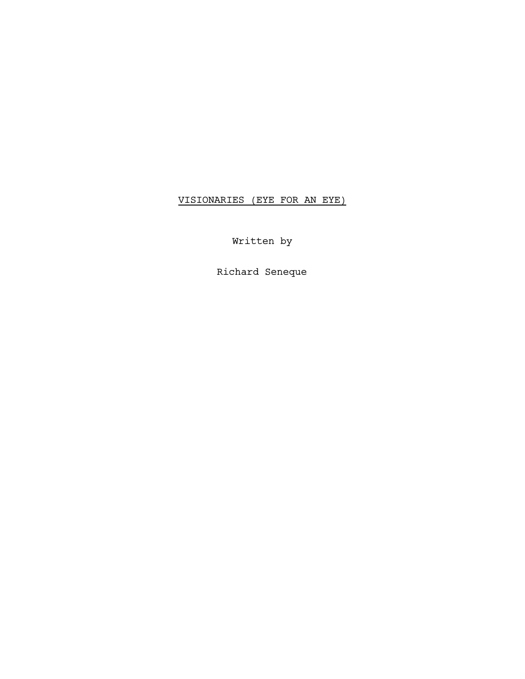# VISIONARIES (EYE FOR AN EYE)

Written by

Richard Seneque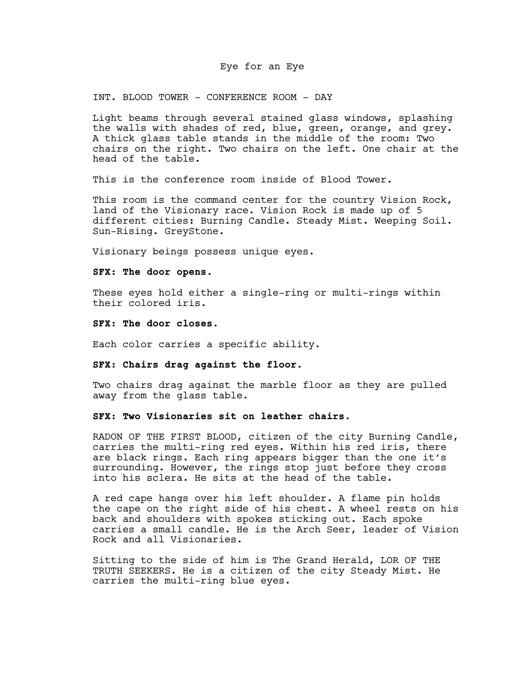# Eye for an Eye

INT. BLOOD TOWER - CONFERENCE ROOM - DAY

Light beams through several stained glass windows, splashing the walls with shades of red, blue, green, orange, and grey. A thick glass table stands in the middle of the room: Two chairs on the right. Two chairs on the left. One chair at the head of the table.

This is the conference room inside of Blood Tower.

This room is the command center for the country Vision Rock, land of the Visionary race. Vision Rock is made up of 5 different cities: Burning Candle. Steady Mist. Weeping Soil. Sun-Rising. GreyStone.

Visionary beings possess unique eyes.

#### **SFX**: **The door opens.**

These eyes hold either a single-ring or multi-rings within their colored iris.

# **SFX**: **The door closes.**

Each color carries a specific ability.

# **SFX**: **Chairs drag against the floor.**

Two chairs drag against the marble floor as they are pulled away from the glass table.

# **SFX**: **Two Visionaries sit on leather chairs.**

RADON OF THE FIRST BLOOD, citizen of the city Burning Candle, carries the multi-ring red eyes. Within his red iris, there are black rings. Each ring appears bigger than the one it's surrounding. However, the rings stop just before they cross into his sclera. He sits at the head of the table.

A red cape hangs over his left shoulder. A flame pin holds the cape on the right side of his chest. A wheel rests on his back and shoulders with spokes sticking out. Each spoke carries a small candle. He is the Arch Seer, leader of Vision Rock and all Visionaries.

Sitting to the side of him is The Grand Herald, LOR OF THE TRUTH SEEKERS. He is a citizen of the city Steady Mist. He carries the multi-ring blue eyes.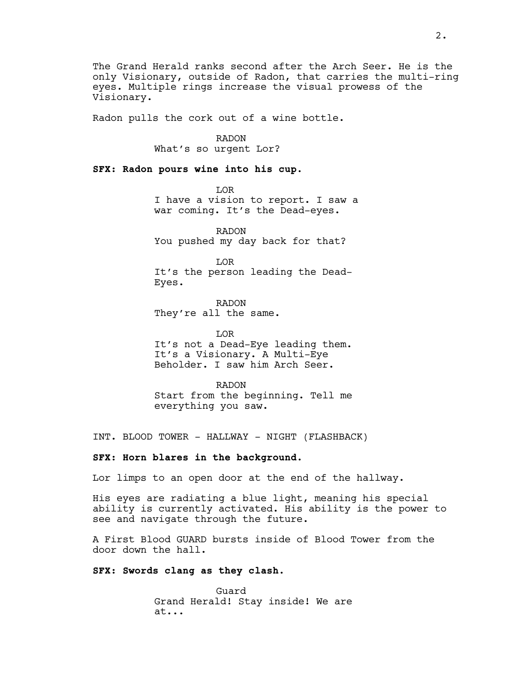The Grand Herald ranks second after the Arch Seer. He is the only Visionary, outside of Radon, that carries the multi-ring eyes. Multiple rings increase the visual prowess of the Visionary.

Radon pulls the cork out of a wine bottle.

RADON

What's so urgent Lor?

**SFX: Radon pours wine into his cup.**

LOR I have a vision to report. I saw a war coming. It's the Dead-eyes.

RADON You pushed my day back for that?

LOR It's the person leading the Dead-Eyes.

RADON They're all the same.

LOR It's not a Dead-Eye leading them. It's a Visionary. A Multi-Eye Beholder. I saw him Arch Seer.

RADON Start from the beginning. Tell me everything you saw.

INT. BLOOD TOWER - HALLWAY - NIGHT (FLASHBACK)

# **SFX**: **Horn blares in the background.**

Lor limps to an open door at the end of the hallway.

His eyes are radiating a blue light, meaning his special ability is currently activated. His ability is the power to see and navigate through the future.

A First Blood GUARD bursts inside of Blood Tower from the door down the hall.

# **SFX: Swords clang as they clash.**

Guard Grand Herald! Stay inside! We are at...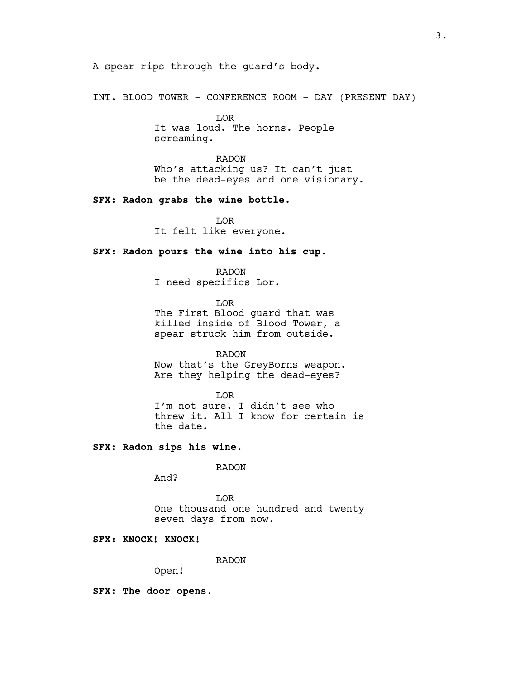A spear rips through the guard's body.

INT. BLOOD TOWER - CONFERENCE ROOM - DAY (PRESENT DAY)

LOR It was loud. The horns. People screaming.

RADON Who's attacking us? It can't just be the dead-eyes and one visionary.

# **SFX: Radon grabs the wine bottle.**

LOR It felt like everyone.

# **SFX: Radon pours the wine into his cup.**

# RADON

I need specifics Lor.

LOR The First Blood guard that was killed inside of Blood Tower, a spear struck him from outside.

RADON

Now that's the GreyBorns weapon. Are they helping the dead-eyes?

LOR

I'm not sure. I didn't see who threw it. All I know for certain is the date.

# **SFX: Radon sips his wine.**

RADON

And?

LOR One thousand one hundred and twenty seven days from now.

# **SFX: KNOCK! KNOCK!**

RADON

Open!

**SFX: The door opens.**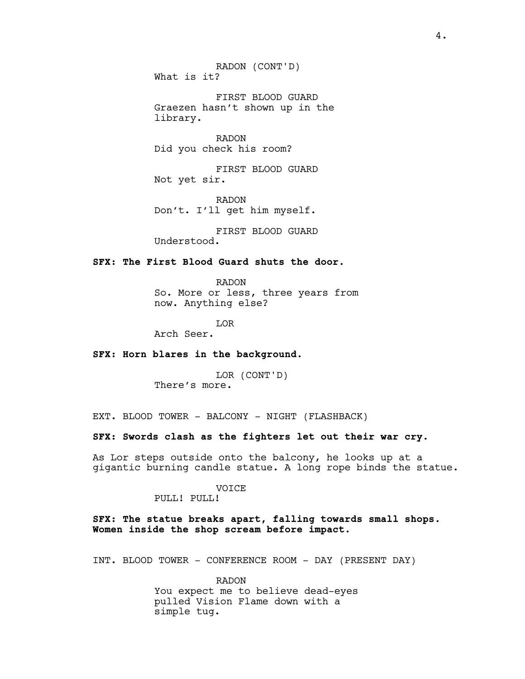RADON (CONT'D) What is it?

FIRST BLOOD GUARD Graezen hasn't shown up in the library.

RADON Did you check his room?

FIRST BLOOD GUARD Not yet sir.

RADON Don't. I'll get him myself.

FIRST BLOOD GUARD Understood.

# **SFX: The First Blood Guard shuts the door.**

RADON So. More or less, three years from now. Anything else?

LOR

Arch Seer.

# **SFX: Horn blares in the background.**

LOR (CONT'D) There's more.

EXT. BLOOD TOWER - BALCONY - NIGHT (FLASHBACK)

# **SFX: Swords clash as the fighters let out their war cry.**

As Lor steps outside onto the balcony, he looks up at a gigantic burning candle statue. A long rope binds the statue.

# VOICE

PULL! PULL!

# **SFX: The statue breaks apart, falling towards small shops. Women inside the shop scream before impact.**

INT. BLOOD TOWER - CONFERENCE ROOM - DAY (PRESENT DAY)

RADON You expect me to believe dead-eyes pulled Vision Flame down with a simple tug.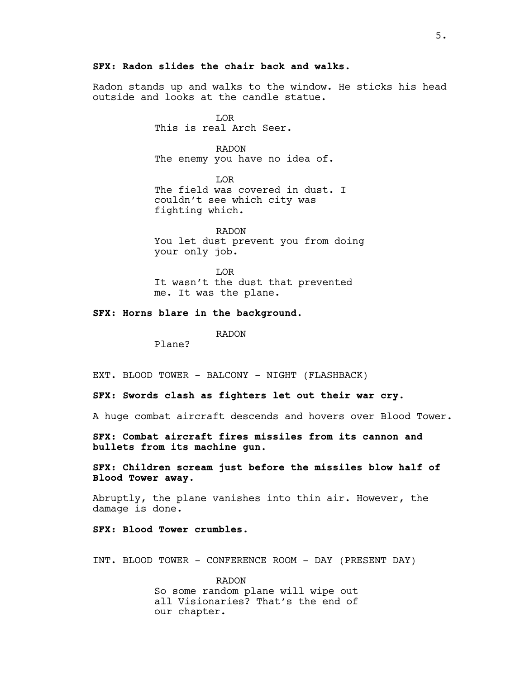# **SFX: Radon slides the chair back and walks.**

Radon stands up and walks to the window. He sticks his head outside and looks at the candle statue.

> LOR This is real Arch Seer.

RADON The enemy you have no idea of.

LOR The field was covered in dust. I couldn't see which city was fighting which.

RADON You let dust prevent you from doing your only job.

LOR It wasn't the dust that prevented me. It was the plane.

# **SFX: Horns blare in the background.**

RADON

Plane?

EXT. BLOOD TOWER - BALCONY - NIGHT (FLASHBACK)

**SFX: Swords clash as fighters let out their war cry.**

A huge combat aircraft descends and hovers over Blood Tower.

**SFX: Combat aircraft fires missiles from its cannon and bullets from its machine gun.**

**SFX: Children scream just before the missiles blow half of Blood Tower away.**

Abruptly, the plane vanishes into thin air. However, the damage is done.

**SFX: Blood Tower crumbles.**

INT. BLOOD TOWER - CONFERENCE ROOM - DAY (PRESENT DAY)

RADON So some random plane will wipe out all Visionaries? That's the end of our chapter.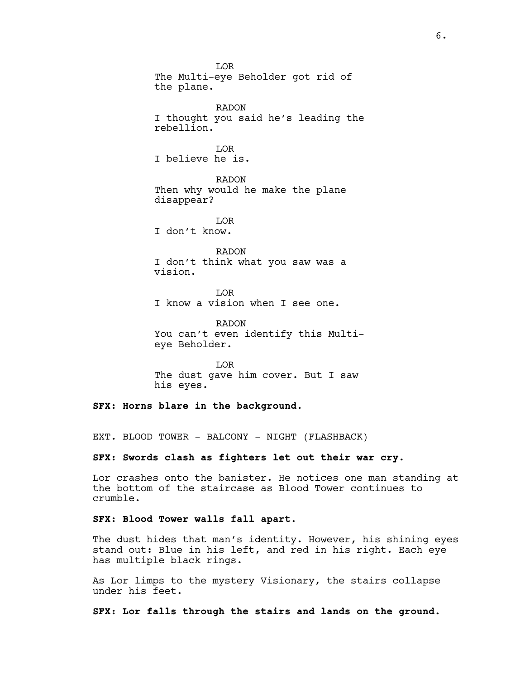LOR The Multi-eye Beholder got rid of the plane. RADON I thought you said he's leading the rebellion. LOR I believe he is. RADON Then why would he make the plane disappear? LOR I don't know. RADON I don't think what you saw was a vision.

LOR I know a vision when I see one.

RADON You can't even identify this Multieye Beholder.

LOR The dust gave him cover. But I saw his eyes.

**SFX: Horns blare in the background.**

EXT. BLOOD TOWER - BALCONY - NIGHT (FLASHBACK)

**SFX: Swords clash as fighters let out their war cry.**

Lor crashes onto the banister. He notices one man standing at the bottom of the staircase as Blood Tower continues to crumble.

**SFX: Blood Tower walls fall apart.**

The dust hides that man's identity. However, his shining eyes stand out: Blue in his left, and red in his right. Each eye has multiple black rings.

As Lor limps to the mystery Visionary, the stairs collapse under his feet.

**SFX: Lor falls through the stairs and lands on the ground.**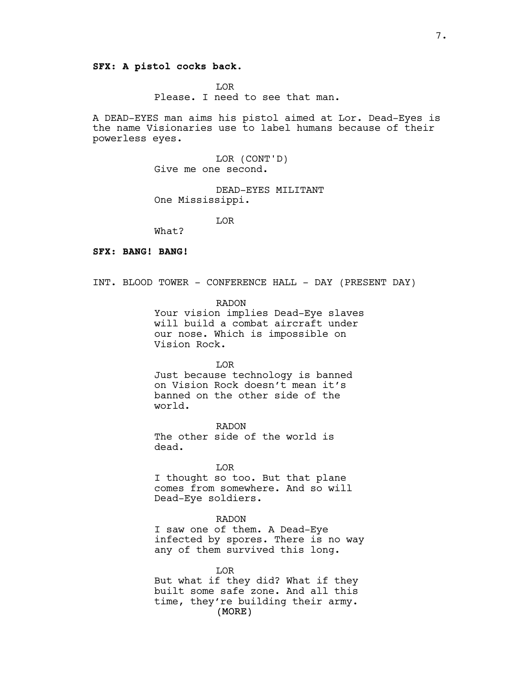# **SFX: A pistol cocks back.**

LOR Please. I need to see that man.

A DEAD-EYES man aims his pistol aimed at Lor. Dead-Eyes is the name Visionaries use to label humans because of their powerless eyes.

> LOR (CONT'D) Give me one second.

DEAD-EYES MILITANT One Mississippi.

LOR

What?

# **SFX: BANG! BANG!**

INT. BLOOD TOWER - CONFERENCE HALL - DAY (PRESENT DAY)

RADON

Your vision implies Dead-Eye slaves will build a combat aircraft under our nose. Which is impossible on Vision Rock.

#### LOR

Just because technology is banned on Vision Rock doesn't mean it's banned on the other side of the world.

RADON The other side of the world is dead.

LOR

I thought so too. But that plane comes from somewhere. And so will Dead-Eye soldiers.

# RADON

I saw one of them. A Dead-Eye infected by spores. There is no way any of them survived this long.

(MORE) LOR But what if they did? What if they built some safe zone. And all this time, they're building their army.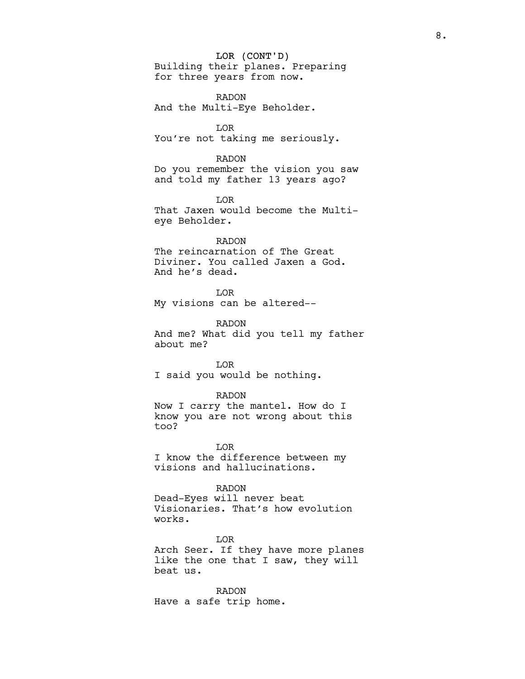# LOR (CONT'D)

Building their planes. Preparing for three years from now.

RADON And the Multi-Eye Beholder.

LOR You're not taking me seriously.

RADON Do you remember the vision you saw and told my father 13 years ago?

LOR That Jaxen would become the Multieye Beholder.

RADON The reincarnation of The Great Diviner. You called Jaxen a God. And he's dead.

LOR My visions can be altered--

RADON And me? What did you tell my father about me?

LOR I said you would be nothing.

# RADON

Now I carry the mantel. How do I know you are not wrong about this too?

LOR I know the difference between my visions and hallucinations.

RADON Dead-Eyes will never beat Visionaries. That's how evolution works.

LOR Arch Seer. If they have more planes like the one that I saw, they will beat us.

RADON Have a safe trip home.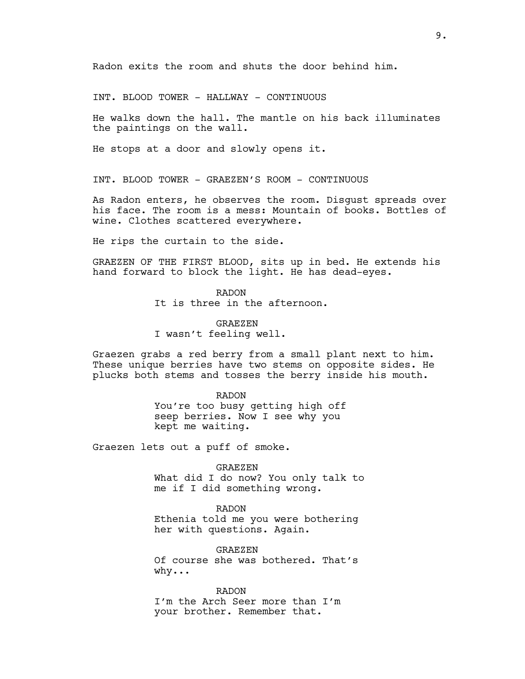Radon exits the room and shuts the door behind him.

INT. BLOOD TOWER - HALLWAY - CONTINUOUS

He walks down the hall. The mantle on his back illuminates the paintings on the wall.

He stops at a door and slowly opens it.

INT. BLOOD TOWER - GRAEZEN'S ROOM - CONTINUOUS

As Radon enters, he observes the room. Disgust spreads over his face. The room is a mess: Mountain of books. Bottles of wine. Clothes scattered everywhere.

He rips the curtain to the side.

GRAEZEN OF THE FIRST BLOOD, sits up in bed. He extends his hand forward to block the light. He has dead-eyes.

> RADON It is three in the afternoon.

GRAEZEN I wasn't feeling well.

Graezen grabs a red berry from a small plant next to him. These unique berries have two stems on opposite sides. He plucks both stems and tosses the berry inside his mouth.

> RADON You're too busy getting high off seep berries. Now I see why you kept me waiting.

Graezen lets out a puff of smoke.

GRAEZEN What did I do now? You only talk to me if I did something wrong.

RADON Ethenia told me you were bothering her with questions. Again.

GRAEZEN Of course she was bothered. That's why...

RADON I'm the Arch Seer more than I'm your brother. Remember that.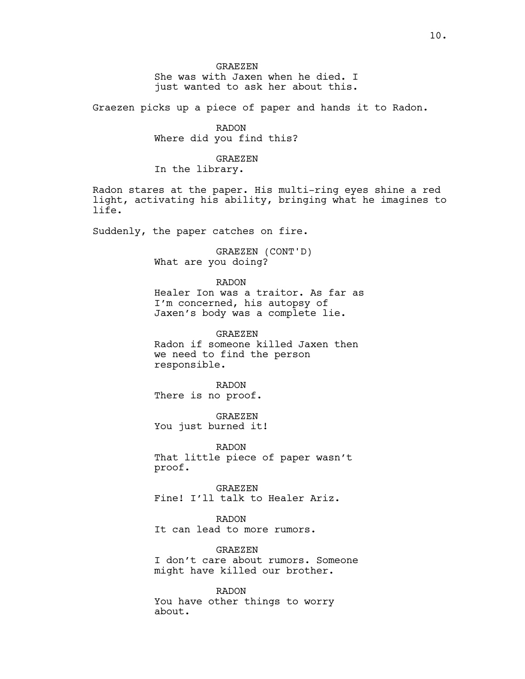#### GRAEZEN

She was with Jaxen when he died. I just wanted to ask her about this.

Graezen picks up a piece of paper and hands it to Radon.

RADON Where did you find this?

# GRAEZEN

In the library.

Radon stares at the paper. His multi-ring eyes shine a red light, activating his ability, bringing what he imagines to life.

Suddenly, the paper catches on fire.

GRAEZEN (CONT'D) What are you doing?

#### RADON

Healer Ion was a traitor. As far as I'm concerned, his autopsy of Jaxen's body was a complete lie.

GRAEZEN Radon if someone killed Jaxen then we need to find the person responsible.

# RADON

There is no proof.

GRAEZEN You just burned it!

RADON That little piece of paper wasn't proof.

GRAEZEN Fine! I'll talk to Healer Ariz.

# RADON

It can lead to more rumors.

# GRAEZEN

I don't care about rumors. Someone might have killed our brother.

RADON You have other things to worry about.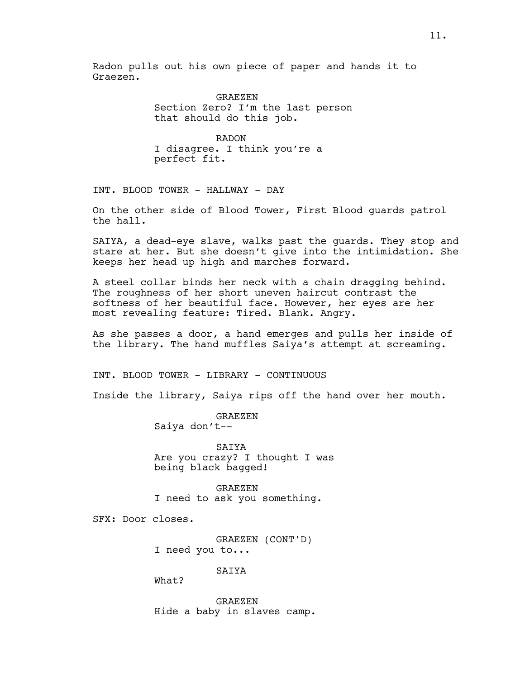Radon pulls out his own piece of paper and hands it to Graezen.

> GRAEZEN Section Zero? I'm the last person that should do this job.

RADON I disagree. I think you're a perfect fit.

INT. BLOOD TOWER - HALLWAY - DAY

On the other side of Blood Tower, First Blood guards patrol the hall.

SAIYA, a dead-eye slave, walks past the guards. They stop and stare at her. But she doesn't give into the intimidation. She keeps her head up high and marches forward.

A steel collar binds her neck with a chain dragging behind. The roughness of her short uneven haircut contrast the softness of her beautiful face. However, her eyes are her most revealing feature: Tired. Blank. Angry.

As she passes a door, a hand emerges and pulls her inside of the library. The hand muffles Saiya's attempt at screaming.

INT. BLOOD TOWER - LIBRARY - CONTINUOUS

Inside the library, Saiya rips off the hand over her mouth.

GRAEZEN Saiya don't--

SAIYA Are you crazy? I thought I was being black bagged!

GRAEZEN I need to ask you something.

SFX: Door closes.

GRAEZEN (CONT'D) I need you to...

SAIYA

What?

GRAEZEN Hide a baby in slaves camp.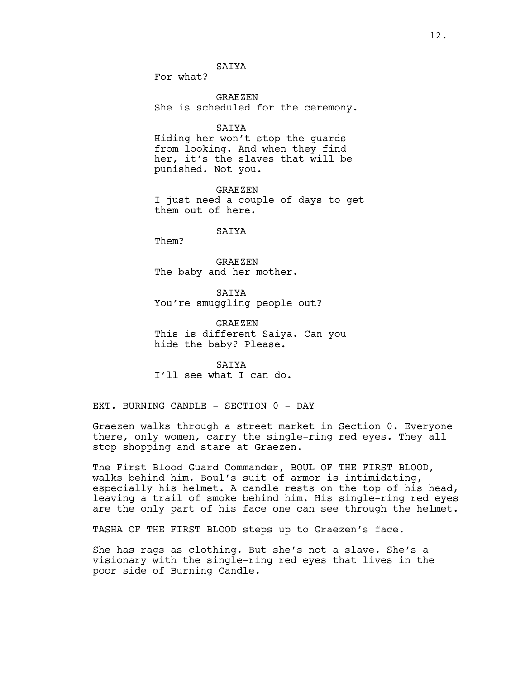**SATYA** 

For what?

GRAEZEN She is scheduled for the ceremony.

SAIYA

Hiding her won't stop the guards from looking. And when they find her, it's the slaves that will be punished. Not you.

GRAEZEN I just need a couple of days to get them out of here.

# SAIYA

Them?

GRAEZEN The baby and her mother.

**SATYA** You're smuggling people out?

GRAEZEN This is different Saiya. Can you hide the baby? Please.

SAIYA I'll see what I can do.

EXT. BURNING CANDLE - SECTION 0 - DAY

Graezen walks through a street market in Section 0. Everyone there, only women, carry the single-ring red eyes. They all stop shopping and stare at Graezen.

The First Blood Guard Commander, BOUL OF THE FIRST BLOOD, walks behind him. Boul's suit of armor is intimidating, especially his helmet. A candle rests on the top of his head, leaving a trail of smoke behind him. His single-ring red eyes are the only part of his face one can see through the helmet.

TASHA OF THE FIRST BLOOD steps up to Graezen's face.

She has rags as clothing. But she's not a slave. She's a visionary with the single-ring red eyes that lives in the poor side of Burning Candle.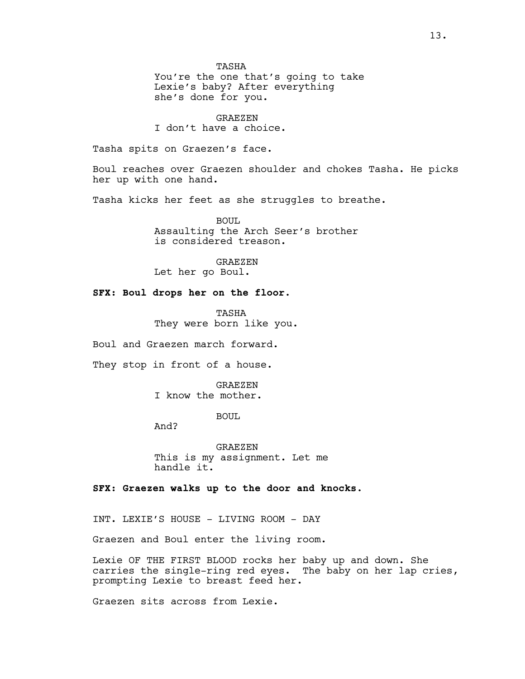TASHA

You're the one that's going to take Lexie's baby? After everything she's done for you.

GRAEZEN I don't have a choice.

Tasha spits on Graezen's face.

Boul reaches over Graezen shoulder and chokes Tasha. He picks her up with one hand.

Tasha kicks her feet as she struggles to breathe.

BOUL Assaulting the Arch Seer's brother is considered treason.

GRAEZEN Let her go Boul.

# **SFX: Boul drops her on the floor.**

**TASHA** They were born like you.

Boul and Graezen march forward.

They stop in front of a house.

GRAEZEN I know the mother.

BOUL

And?

GRAEZEN This is my assignment. Let me handle it.

**SFX: Graezen walks up to the door and knocks.**

INT. LEXIE'S HOUSE - LIVING ROOM - DAY

Graezen and Boul enter the living room.

Lexie OF THE FIRST BLOOD rocks her baby up and down. She carries the single-ring red eyes. The baby on her lap cries, prompting Lexie to breast feed her.

Graezen sits across from Lexie.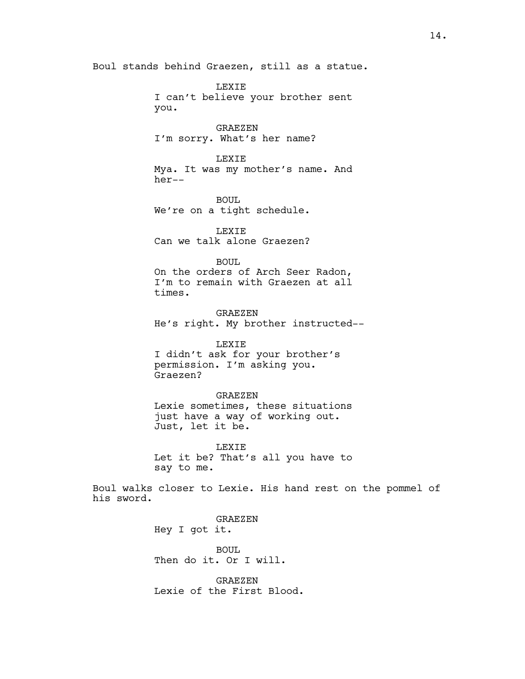Boul stands behind Graezen, still as a statue.

LEXIE I can't believe your brother sent you. GRAEZEN I'm sorry. What's her name? LEXIE Mya. It was my mother's name. And her-- BOUL. We're on a tight schedule. LEXIE Can we talk alone Graezen? BOUL On the orders of Arch Seer Radon, I'm to remain with Graezen at all times. GRAEZEN He's right. My brother instructed-- LEXIE I didn't ask for your brother's permission. I'm asking you. Graezen? GRAEZEN Lexie sometimes, these situations just have a way of working out. Just, let it be. LEXIE Let it be? That's all you have to say to me.

Boul walks closer to Lexie. His hand rest on the pommel of his sword.

> GRAEZEN Hey I got it.

BOUL Then do it. Or I will.

GRAEZEN Lexie of the First Blood.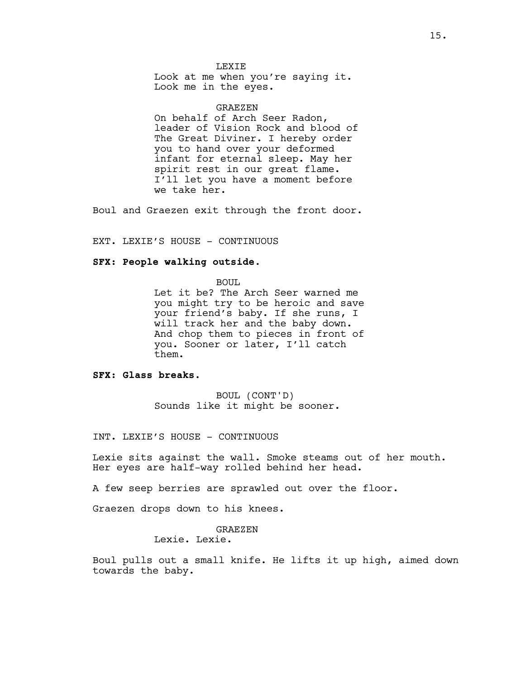**LEXTE** Look at me when you're saying it. Look me in the eyes.

GRAEZEN

On behalf of Arch Seer Radon, leader of Vision Rock and blood of The Great Diviner. I hereby order you to hand over your deformed infant for eternal sleep. May her spirit rest in our great flame. I'll let you have a moment before we take her.

Boul and Graezen exit through the front door.

EXT. LEXIE'S HOUSE - CONTINUOUS

#### **SFX: People walking outside.**

BOUL

Let it be? The Arch Seer warned me you might try to be heroic and save your friend's baby. If she runs, I will track her and the baby down. And chop them to pieces in front of you. Sooner or later, I'll catch them.

# **SFX: Glass breaks.**

BOUL (CONT'D) Sounds like it might be sooner.

INT. LEXIE'S HOUSE - CONTINUOUS

Lexie sits against the wall. Smoke steams out of her mouth. Her eyes are half-way rolled behind her head.

A few seep berries are sprawled out over the floor.

Graezen drops down to his knees.

#### GRAEZEN Lexie. Lexie.

Boul pulls out a small knife. He lifts it up high, aimed down towards the baby.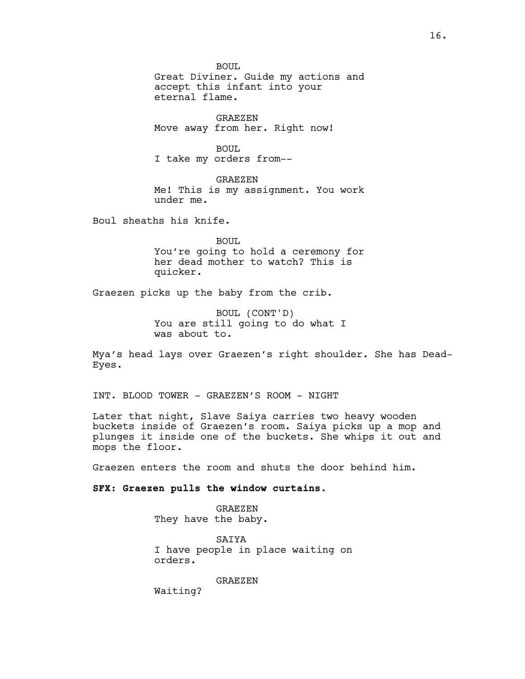BOUL Great Diviner. Guide my actions and accept this infant into your eternal flame.

GRAEZEN Move away from her. Right now!

BOUL. I take my orders from--

GRAEZEN Me! This is my assignment. You work under me.

Boul sheaths his knife.

BOUL You're going to hold a ceremony for her dead mother to watch? This is quicker.

Graezen picks up the baby from the crib.

BOUL (CONT'D) You are still going to do what I was about to.

Mya's head lays over Graezen's right shoulder. She has Dead-Eyes.

INT. BLOOD TOWER - GRAEZEN'S ROOM - NIGHT

Later that night, Slave Saiya carries two heavy wooden buckets inside of Graezen's room. Saiya picks up a mop and plunges it inside one of the buckets. She whips it out and mops the floor.

Graezen enters the room and shuts the door behind him.

#### **SFX: Graezen pulls the window curtains.**

GRAEZEN They have the baby.

SAIYA I have people in place waiting on orders.

GRAEZEN

Waiting?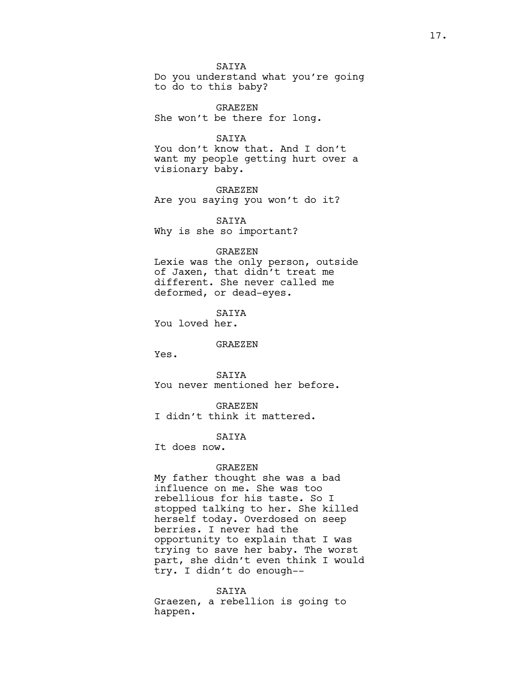SAIYA

Do you understand what you're going to do to this baby?

GRAEZEN She won't be there for long.

# SAIYA

You don't know that. And I don't want my people getting hurt over a visionary baby.

GRAEZEN Are you saying you won't do it?

**SATYA** Why is she so important?

#### GRAEZEN

Lexie was the only person, outside of Jaxen, that didn't treat me different. She never called me deformed, or dead-eyes.

**SATYA** You loved her.

# GRAEZEN

Yes.

**SATYA** You never mentioned her before.

GRAEZEN

I didn't think it mattered.

SAIYA

It does now.

#### GRAEZEN

My father thought she was a bad influence on me. She was too rebellious for his taste. So I stopped talking to her. She killed herself today. Overdosed on seep berries. I never had the opportunity to explain that I was trying to save her baby. The worst part, she didn't even think I would try. I didn't do enough--

SAIYA Graezen, a rebellion is going to happen.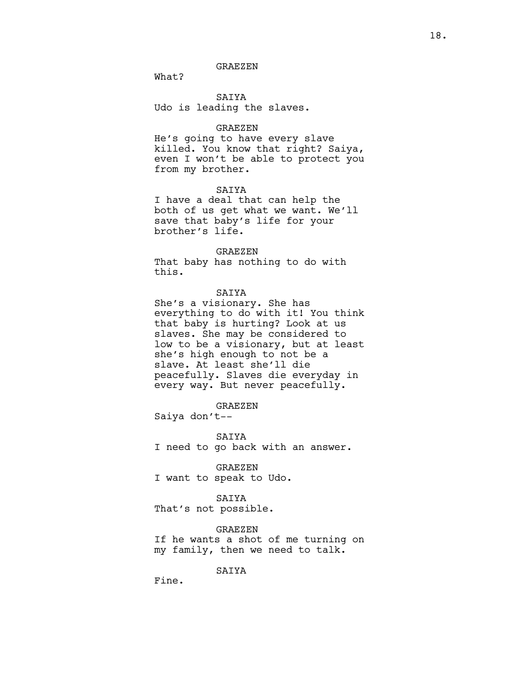# GRAEZEN

What?

SAIYA Udo is leading the slaves.

#### GRAEZEN

He's going to have every slave killed. You know that right? Saiya, even I won't be able to protect you from my brother.

#### SAIYA

I have a deal that can help the both of us get what we want. We'll save that baby's life for your brother's life.

### GRAEZEN

That baby has nothing to do with this.

# SAIYA

She's a visionary. She has everything to do with it! You think that baby is hurting? Look at us slaves. She may be considered to low to be a visionary, but at least she's high enough to not be a slave. At least she'll die peacefully. Slaves die everyday in every way. But never peacefully.

# GRAEZEN

Saiya don't--

SAIYA I need to go back with an answer.

GRAEZEN I want to speak to Udo.

# SAIYA

That's not possible.

#### GRAEZEN

If he wants a shot of me turning on my family, then we need to talk.

SAIYA

Fine.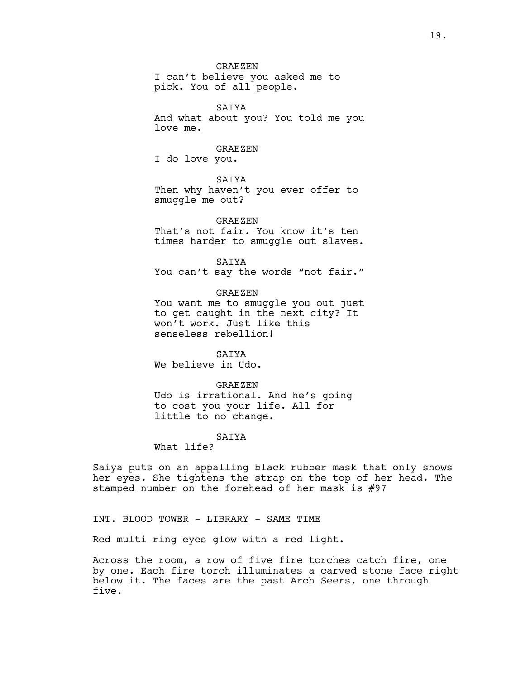GRAEZEN

I can't believe you asked me to pick. You of all people.

SAIYA And what about you? You told me you love me.

#### GRAEZEN

I do love you.

# SAIYA

Then why haven't you ever offer to smuggle me out?

# GRAEZEN

That's not fair. You know it's ten times harder to smuggle out slaves.

SAIYA You can't say the words "not fair."

#### GRAEZEN

You want me to smuggle you out just to get caught in the next city? It won't work. Just like this senseless rebellion!

SAIYA We believe in Udo.

#### GRAEZEN

Udo is irrational. And he's going to cost you your life. All for little to no change.

#### SAIYA

What life?

Saiya puts on an appalling black rubber mask that only shows her eyes. She tightens the strap on the top of her head. The stamped number on the forehead of her mask is #97

INT. BLOOD TOWER - LIBRARY - SAME TIME

Red multi-ring eyes glow with a red light.

Across the room, a row of five fire torches catch fire, one by one. Each fire torch illuminates a carved stone face right below it. The faces are the past Arch Seers, one through five.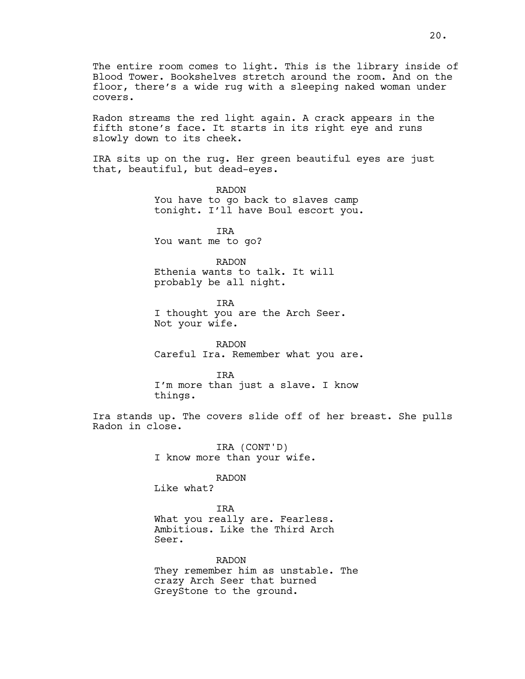The entire room comes to light. This is the library inside of Blood Tower. Bookshelves stretch around the room. And on the floor, there's a wide rug with a sleeping naked woman under covers.

Radon streams the red light again. A crack appears in the fifth stone's face. It starts in its right eye and runs slowly down to its cheek.

IRA sits up on the rug. Her green beautiful eyes are just that, beautiful, but dead-eyes.

> RADON You have to go back to slaves camp tonight. I'll have Boul escort you.

IRA You want me to go?

# RADON

Ethenia wants to talk. It will probably be all night.

IRA I thought you are the Arch Seer. Not your wife.

RADON Careful Ira. Remember what you are.

IRA I'm more than just a slave. I know things.

Ira stands up. The covers slide off of her breast. She pulls Radon in close.

> IRA (CONT'D) I know more than your wife.

# RADON

Like what?

IRA What you really are. Fearless. Ambitious. Like the Third Arch Seer.

RADON They remember him as unstable. The crazy Arch Seer that burned GreyStone to the ground.